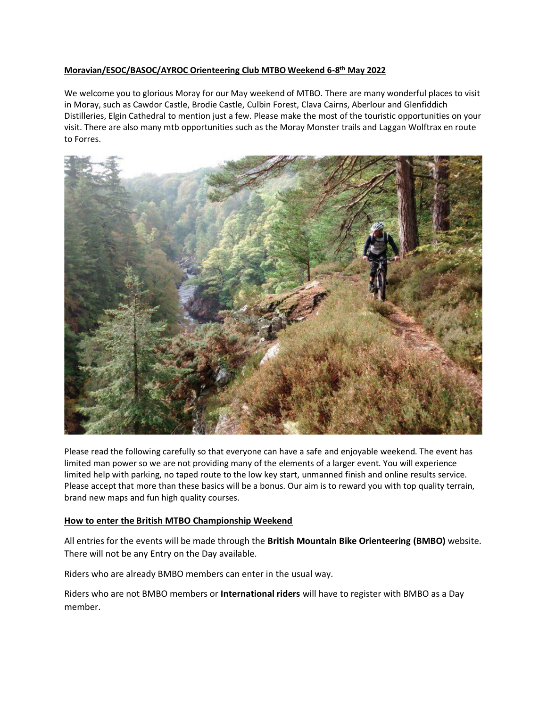# **Moravian/ESOC/BASOC/AYROC Orienteering Club MTBO Weekend 6-8 th May 2022**

We welcome you to glorious Moray for our May weekend of MTBO. There are many wonderful places to visit in Moray, such as Cawdor Castle, Brodie Castle, Culbin Forest, Clava Cairns, Aberlour and Glenfiddich Distilleries, Elgin Cathedral to mention just a few. Please make the most of the touristic opportunities on your visit. There are also many mtb opportunities such as the Moray Monster trails and Laggan Wolftrax en route to Forres.



Please read the following carefully so that everyone can have a safe and enjoyable weekend. The event has limited man power so we are not providing many of the elements of a larger event. You will experience limited help with parking, no taped route to the low key start, unmanned finish and online results service. Please accept that more than these basics will be a bonus. Our aim is to reward you with top quality terrain, brand new maps and fun high quality courses.

## **How to enter the British MTBO Championship Weekend**

All entries for the events will be made through the **British Mountain Bike Orienteering (BMBO)** website. There will not be any Entry on the Day available.

Riders who are already BMBO members can enter in the usual way.

Riders who are not BMBO members or **International riders** will have to register with BMBO as a Day member.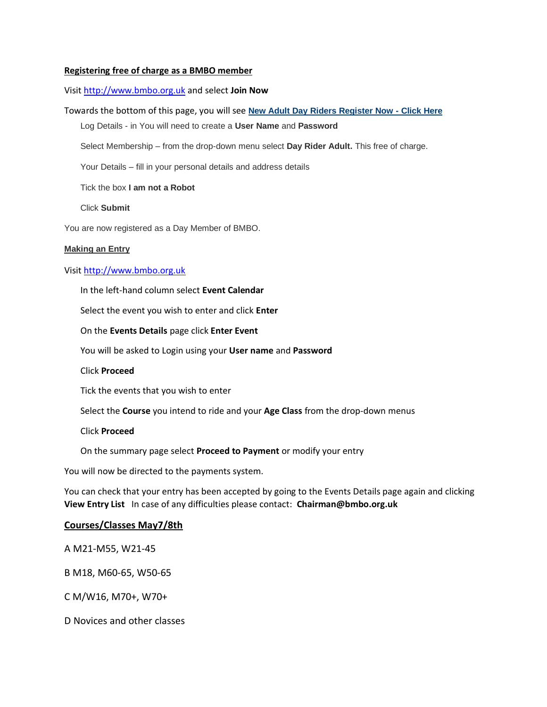## **Registering free of charge as a BMBO member**

## Visit [http://www.bmbo.org.uk](http://www.bmbo.org.uk/) and select **Join Now**

## Towards the bottom of this page, you will see **New Adult Day Riders Register Now - Click Here**

Log Details - in You will need to create a **User Name** and **Password**

Select Membership – from the drop-down menu select **Day Rider Adult.** This free of charge.

Your Details – fill in your personal details and address details

Tick the box **I am not a Robot** 

Click **Submit**

You are now registered as a Day Member of BMBO.

#### **Making an Entry**

## Visit [http://www.bmbo.org.uk](http://www.bmbo.org.uk/)

In the left-hand column select **Event Calendar**

Select the event you wish to enter and click **Enter**

On the **Events Details** page click **Enter Event**

You will be asked to Login using your **User name** and **Password**

Click **Proceed**

Tick the events that you wish to enter

Select the **Course** you intend to ride and your **Age Class** from the drop-down menus

#### Click **Proceed**

On the summary page select **Proceed to Payment** or modify your entry

You will now be directed to the payments system.

You can check that your entry has been accepted by going to the Events Details page again and clicking **View Entry List** In case of any difficulties please contact: **Chairman@bmbo.org.uk**

## **Courses/Classes May7/8th**

A M21-M55, W21-45

B M18, M60-65, W50-65

C M/W16, M70+, W70+

D Novices and other classes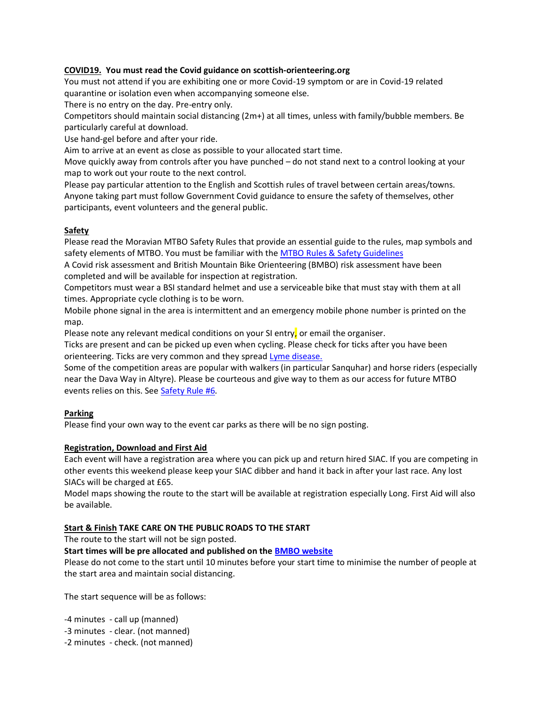## **COVID19. You must read the Covid guidance on scottish-orienteering.org**

You must not attend if you are exhibiting one or more Covid-19 symptom or are in Covid-19 related quarantine or isolation even when accompanying someone else.

There is no entry on the day. Pre-entry only.

Competitors should maintain social distancing (2m+) at all times, unless with family/bubble members. Be particularly careful at download.

Use hand-gel before and after your ride.

Aim to arrive at an event as close as possible to your allocated start time.

Move quickly away from controls after you have punched – do not stand next to a control looking at your map to work out your route to the next control.

Please pay particular attention to the English and Scottish rules of travel between certain areas/towns. Anyone taking part must follow Government Covid guidance to ensure the safety of themselves, other participants, event volunteers and the general public.

## **Safety**

Please read the Moravian MTBO Safety Rules that provide an essential guide to the rules, map symbols and safety elements of MTBO. You must be familiar with th[e MTBO Rules & Safety Guidelines](https://mor.scot/sites/default/files/2021-06/MTBO%20Safety%20Rules.pdf)

A Covid risk assessment and British Mountain Bike Orienteering (BMBO) risk assessment have been completed and will be available for inspection at registration.

Competitors must wear a BSI standard helmet and use a serviceable bike that must stay with them at all times. Appropriate cycle clothing is to be worn.

Mobile phone signal in the area is intermittent and an emergency mobile phone number is printed on the map.

Please note any relevant medical conditions on your SI entry, or email the organiser.

Ticks are present and can be picked up even when cycling. Please check for ticks after you have been orienteering. Ticks are very common and they sprea[d Lyme disease.](https://www.nhs.uk/conditions/lyme-disease/)

Some of the competition areas are popular with walkers (in particular Sanquhar) and horse riders (especially near the Dava Way in Altyre). Please be courteous and give way to them as our access for future MTBO events relies on this. See [Safety Rule #6.](https://mor.scot/sites/default/files/2021-06/MTBO%20Safety%20Rules.pdf)

# **Parking**

Please find your own way to the event car parks as there will be no sign posting.

## **Registration, Download and First Aid**

Each event will have a registration area where you can pick up and return hired SIAC. If you are competing in other events this weekend please keep your SIAC dibber and hand it back in after your last race. Any lost SIACs will be charged at £65.

Model maps showing the route to the start will be available at registration especially Long. First Aid will also be available.

## **Start & Finish TAKE CARE ON THE PUBLIC ROADS TO THE START**

The route to the start will not be sign posted.

## **Start times will be pre allocated and published on the BMBO website**

Please do not come to the start until 10 minutes before your start time to minimise the number of people at the start area and maintain social distancing.

The start sequence will be as follows:

-4 minutes - call up (manned)

- -3 minutes clear. (not manned)
- -2 minutes check. (not manned)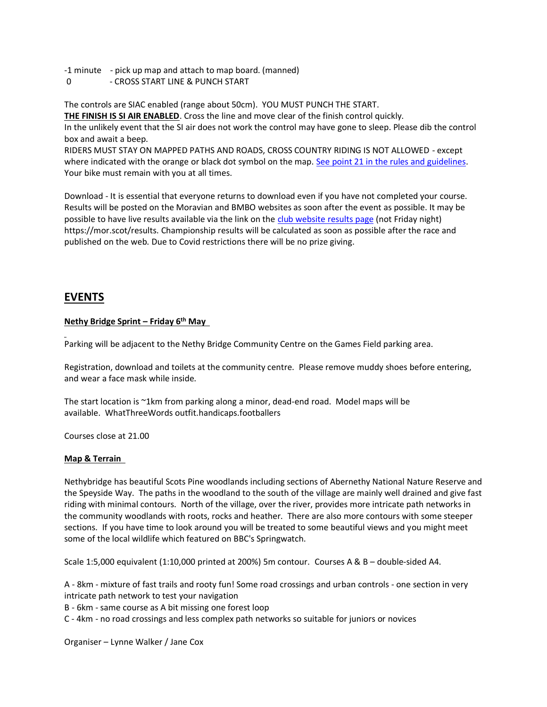-1 minute - pick up map and attach to map board. (manned)

0 - CROSS START LINE & PUNCH START

The controls are SIAC enabled (range about 50cm). YOU MUST PUNCH THE START.

**THE FINISH IS SI AIR ENABLED**. Cross the line and move clear of the finish control quickly. In the unlikely event that the SI air does not work the control may have gone to sleep. Please dib the control box and await a beep.

RIDERS MUST STAY ON MAPPED PATHS AND ROADS, CROSS COUNTRY RIDING IS NOT ALLOWED - except where indicated with the orange or black dot symbol on the map. [See point 21 in the rules and guidelines.](https://mor.scot/sites/default/files/2021-06/MTBO%20Safety%20Rules.pdf) Your bike must remain with you at all times.

Download - It is essential that everyone returns to download even if you have not completed your course. Results will be posted on the Moravian and BMBO websites as soon after the event as possible. It may be possible to have live results available via the link on th[e club website results page](https://mor.scot/results) (not Friday night) https://mor.scot/results. Championship results will be calculated as soon as possible after the race and published on the web. Due to Covid restrictions there will be no prize giving.

# **EVENTS**

# **Nethy Bridge Sprint – Friday 6th May**

Parking will be adjacent to the Nethy Bridge Community Centre on the Games Field parking area.

Registration, download and toilets at the community centre. Please remove muddy shoes before entering, and wear a face mask while inside.

The start location is ~1km from parking along a minor, dead-end road. Model maps will be available. WhatThreeWords outfit.handicaps.footballers

Courses close at 21.00

## **Map & Terrain**

Nethybridge has beautiful Scots Pine woodlands including sections of Abernethy National Nature Reserve and the Speyside Way. The paths in the woodland to the south of the village are mainly well drained and give fast riding with minimal contours. North of the village, over the river, provides more intricate path networks in the community woodlands with roots, rocks and heather. There are also more contours with some steeper sections. If you have time to look around you will be treated to some beautiful views and you might meet some of the local wildlife which featured on BBC's Springwatch.

Scale 1:5,000 equivalent (1:10,000 printed at 200%) 5m contour. Courses A & B – double-sided A4.

A - 8km - mixture of fast trails and rooty fun! Some road crossings and urban controls - one section in very intricate path network to test your navigation

B - 6km - same course as A bit missing one forest loop

C - 4km - no road crossings and less complex path networks so suitable for juniors or novices

Organiser – Lynne Walker / Jane Cox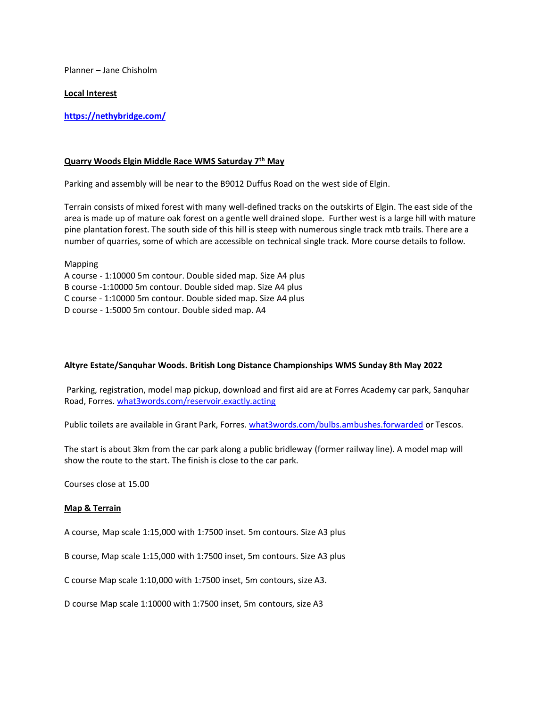Planner – Jane Chisholm

#### **Local Interest**

**<https://nethybridge.com/>**

#### **Quarry Woods Elgin Middle Race WMS Saturday 7th May**

Parking and assembly will be near to the B9012 Duffus Road on the west side of Elgin.

Terrain consists of mixed forest with many well-defined tracks on the outskirts of Elgin. The east side of the area is made up of mature oak forest on a gentle well drained slope. Further west is a large hill with mature pine plantation forest. The south side of this hill is steep with numerous single track mtb trails. There are a number of quarries, some of which are accessible on technical single track. More course details to follow.

Mapping A course - 1:10000 5m contour. Double sided map. Size A4 plus B course -1:10000 5m contour. Double sided map. Size A4 plus C course - 1:10000 5m contour. Double sided map. Size A4 plus D course - 1:5000 5m contour. Double sided map. A4

## **Altyre Estate/Sanquhar Woods. British Long Distance Championships WMS Sunday 8th May 2022**

Parking, registration, model map pickup, download and first aid are at Forres Academy car park, Sanquhar Road, Forres. [what3words.com/reservoir.exactly.acting](https://what3words.com/reservoir.exactly.acting)

Public toilets are available in Grant Park, Forres. [what3words.com/bulbs.ambushes.forwarded](https://what3words.com/bulbs.ambushes.forwarded) or Tescos.

The start is about 3km from the car park along a public bridleway (former railway line). A model map will show the route to the start. The finish is close to the car park.

Courses close at 15.00

#### **Map & Terrain**

A course, Map scale 1:15,000 with 1:7500 inset. 5m contours. Size A3 plus

B course, Map scale 1:15,000 with 1:7500 inset, 5m contours. Size A3 plus

C course Map scale 1:10,000 with 1:7500 inset, 5m contours, size A3.

D course Map scale 1:10000 with 1:7500 inset, 5m contours, size A3